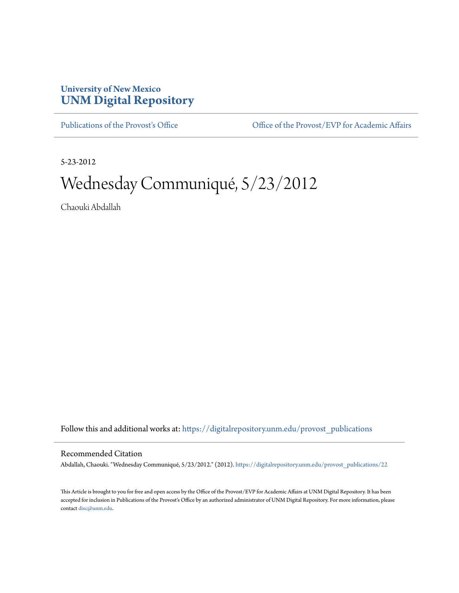## **University of New Mexico [UNM Digital Repository](https://digitalrepository.unm.edu?utm_source=digitalrepository.unm.edu%2Fprovost_publications%2F22&utm_medium=PDF&utm_campaign=PDFCoverPages)**

[Publications of the Provost's Office](https://digitalrepository.unm.edu/provost_publications?utm_source=digitalrepository.unm.edu%2Fprovost_publications%2F22&utm_medium=PDF&utm_campaign=PDFCoverPages) Office [Office of the Provost/EVP for Academic Affairs](https://digitalrepository.unm.edu/ofc_provost?utm_source=digitalrepository.unm.edu%2Fprovost_publications%2F22&utm_medium=PDF&utm_campaign=PDFCoverPages)

5-23-2012

# Wednesday Communiqué, 5/23/2012

Chaouki Abdallah

Follow this and additional works at: [https://digitalrepository.unm.edu/provost\\_publications](https://digitalrepository.unm.edu/provost_publications?utm_source=digitalrepository.unm.edu%2Fprovost_publications%2F22&utm_medium=PDF&utm_campaign=PDFCoverPages)

#### Recommended Citation

Abdallah, Chaouki. "Wednesday Communiqué, 5/23/2012." (2012). [https://digitalrepository.unm.edu/provost\\_publications/22](https://digitalrepository.unm.edu/provost_publications/22?utm_source=digitalrepository.unm.edu%2Fprovost_publications%2F22&utm_medium=PDF&utm_campaign=PDFCoverPages)

This Article is brought to you for free and open access by the Office of the Provost/EVP for Academic Affairs at UNM Digital Repository. It has been accepted for inclusion in Publications of the Provost's Office by an authorized administrator of UNM Digital Repository. For more information, please contact [disc@unm.edu.](mailto:disc@unm.edu)